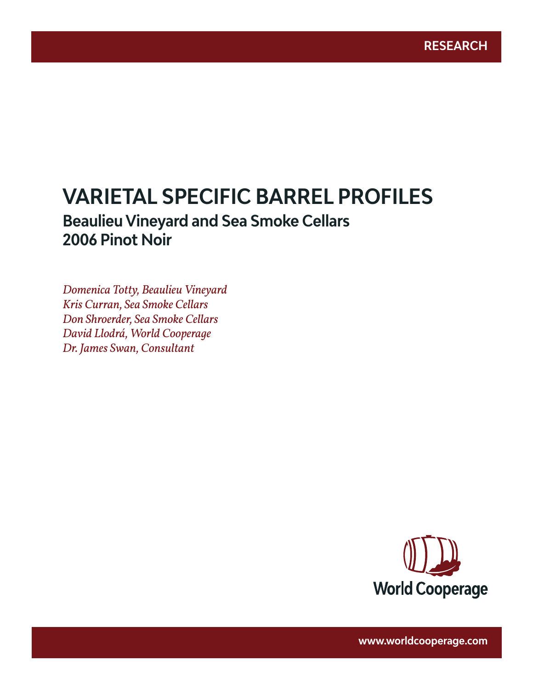# **VARIETAL SPECIFIC BARREL PROFILES**

www.worldcooperage.com *Varietal Specific Barrel Profiles: Pinot Noir* **1** 

# **Beaulieu Vineyard and Sea Smoke Cellars 2006 Pinot Noir**

*Domenica Totty, Beaulieu Vineyard Kris Curran, Sea Smoke Cellars Don Shroerder, Sea Smoke Cellars David Llodrá, World Cooperage Dr. James Swan, Consultant*



**www.worldcooperage.com**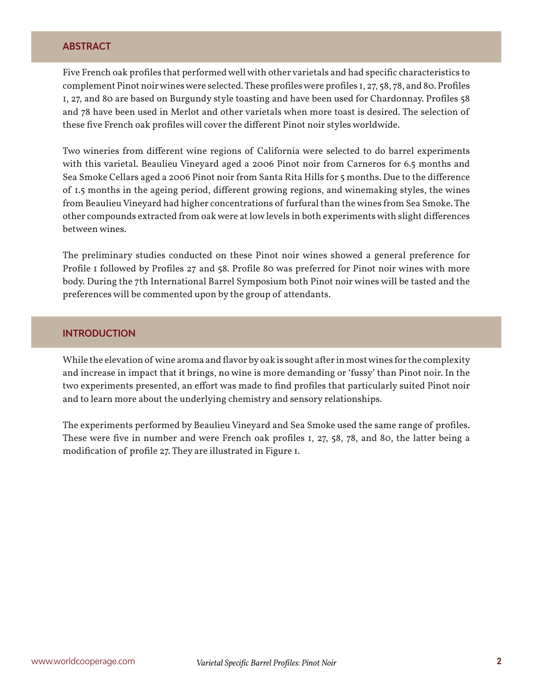#### **ABSTRACT**

Five French oak profiles that performed well with other varietals and had specific characteristics to complement Pinot noir wines were selected. These profiles were profiles 1, 27, 58, 78, and 80. Profiles 1, 27, and 80 are based on Burgundy style toasting and have been used for Chardonnay. Profiles 58 and 78 have been used in Merlot and other varietals when more toast is desired. The selection of these five French oak profiles will cover the different Pinot noir styles worldwide.

Two wineries from different wine regions of California were selected to do barrel experiments with this varietal. Beaulieu Vineyard aged a 2006 Pinot noir from Carneros for 6.5 months and Sea Smoke Cellars aged a 2006 Pinot noir from Santa Rita Hills for 5 months. Due to the difference of 1.5 months in the ageing period, different growing regions, and winemaking styles, the wines from Beaulieu Vineyard had higher concentrations of furfural than the wines from Sea Smoke. The other compounds extracted from oak were at low levels in both experiments with slight differences between wines.

The preliminary studies conducted on these Pinot noir wines showed a general preference for Profile 1 followed by Profiles 27 and 58. Profile 80 was preferred for Pinot noir wines with more body. During the 7th International Barrel Symposium both Pinot noir wines will be tasted and the preferences will be commented upon by the group of attendants.

# **INTRODUCTION**

While the elevation of wine aroma and flavor by oak is sought after in most wines for the complexity and increase in impact that it brings, no wine is more demanding or 'fussy' than Pinot noir. In the two experiments presented, an effort was made to find profiles that particularly suited Pinot noir and to learn more about the underlying chemistry and sensory relationships.

The experiments performed by Beaulieu Vineyard and Sea Smoke used the same range of profiles. These were five in number and were French oak profiles 1, 27, 58, 78, and 80, the latter being a modification of profile 27. They are illustrated in Figure 1.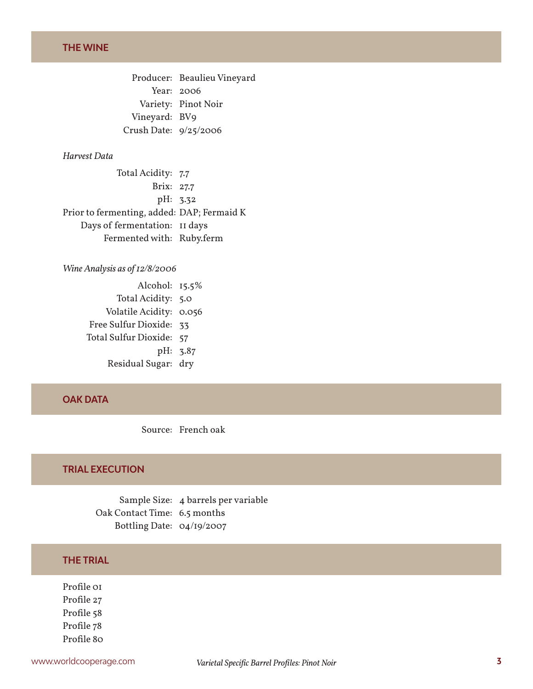Producer: Beaulieu Vineyard Year: 2006 Variety: Pinot Noir Vineyard: BV9 Crush Date: 9/25/2006

#### *Harvest Data*

Total Acidity: 7.7 Brix: 27.7 pH: 3.32 Prior to fermenting, added: DAP; Fermaid K Days of fermentation: 11 days Fermented with: Ruby.ferm

#### *Wine Analysis as of 12/8/2006*

Alcohol: 15.5% Total Acidity: 5.0 Volatile Acidity: 0.056 Free Sulfur Dioxide: 33 Total Sulfur Dioxide: 57 pH: 3.87 Residual Sugar: dry

### **OAK DATA**

Source: French oak

#### **TRIAL EXECUTION**

Sample Size: 4 barrels per variable Oak Contact Time: 6.5 months Bottling Date: 04/19/2007

#### **THE TRIAL**

Profile 01 Profile 27 Profile 58 Profile 78 Profile 80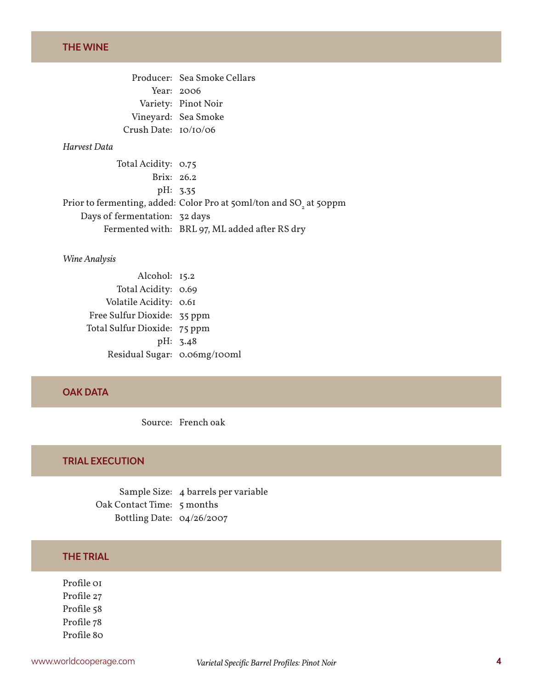# **THE WINE**

|                      | Producer: Sea Smoke Cellars |
|----------------------|-----------------------------|
|                      | Year: $2006$                |
|                      | Variety: Pinot Noir         |
|                      | Vineyard: Sea Smoke         |
| Crush Date: 10/10/06 |                             |

#### *Harvest Data*

Total Acidity: 0.75 Brix: 26.2 pH: 3.35 Prior to fermenting, added: Color Pro at 50 $\mathrm{m}$ l/ton and SO $_{_2}$  at 50 $\mathrm{ppm}$ Days of fermentation: 32 days Fermented with: BRL 97, ML added after RS dry

#### *Wine Analysis*

| Alcohol: 15.2                |          |
|------------------------------|----------|
| Total Acidity: 0.69          |          |
| Volatile Acidity: 0.61       |          |
| Free Sulfur Dioxide: 35 ppm  |          |
| Total Sulfur Dioxide: 75 ppm |          |
|                              | pH: 3.48 |
| Residual Sugar: 0.06mg/100ml |          |

#### **OAK DATA**

Source: French oak

# **TRIAL EXECUTION**

Sample Size: 4 barrels per variable Oak Contact Time: 5 months Bottling Date: 04/26/2007

# **THE TRIAL**

Profile 01 Profile 27 Profile 58 Profile 78 Profile 80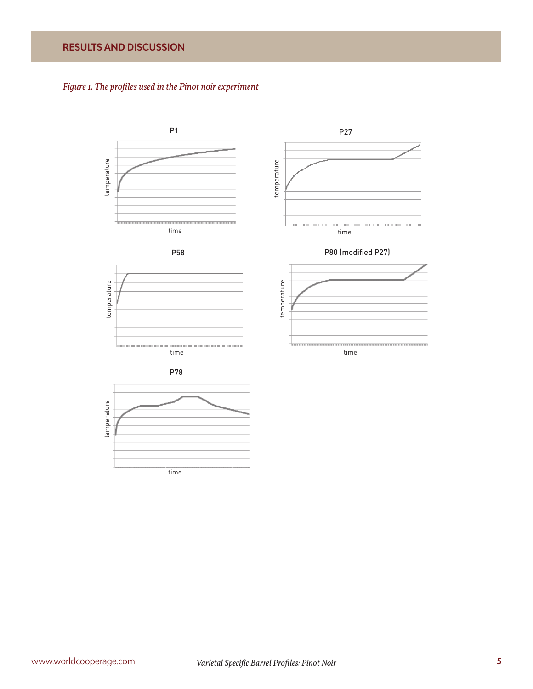# **RESULTS AND DISCUSSION**



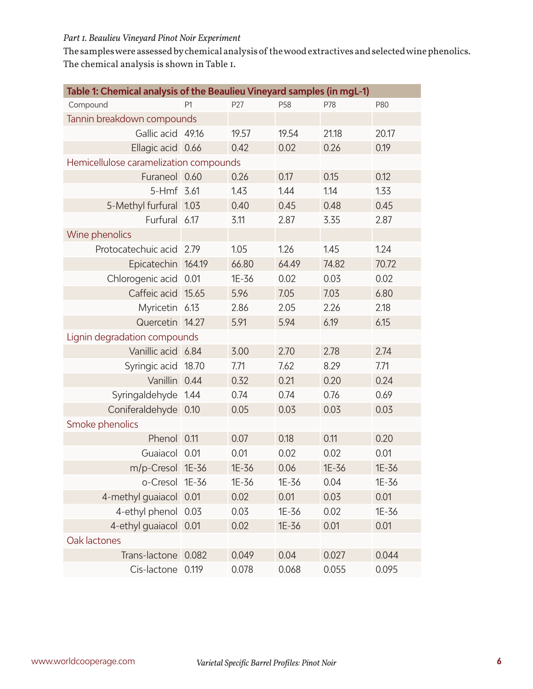#### *Part 1. Beaulieu Vineyard Pinot Noir Experiment*

The samples were assessed by chemical analysis of the wood extractives and selected wine phenolics. The chemical analysis is shown in Table 1.

| Table 1: Chemical analysis of the Beaulieu Vineyard samples (in mgL-1) |                |       |       |       |       |
|------------------------------------------------------------------------|----------------|-------|-------|-------|-------|
| Compound                                                               | P <sub>1</sub> | P27   | P58   | P78   | P80   |
| Tannin breakdown compounds                                             |                |       |       |       |       |
| Gallic acid 49.16                                                      |                | 19.57 | 19.54 | 21.18 | 20.17 |
| Ellagic acid 0.66                                                      |                | 0.42  | 0.02  | 0.26  | 0.19  |
| Hemicellulose caramelization compounds                                 |                |       |       |       |       |
| Furaneol 0.60                                                          |                | 0.26  | 0.17  | 0.15  | 0.12  |
| 5-Hmf 3.61                                                             |                | 1.43  | 1.44  | 1.14  | 1.33  |
| 5-Methyl furfural                                                      | 1.03           | 0.40  | 0.45  | 0.48  | 0.45  |
| Furfural                                                               | 6.17           | 3.11  | 2.87  | 3.35  | 2.87  |
| Wine phenolics                                                         |                |       |       |       |       |
| Protocatechuic acid                                                    | 2.79           | 1.05  | 1.26  | 1.45  | 1.24  |
| Epicatechin                                                            | 164.19         | 66.80 | 64.49 | 74.82 | 70.72 |
| Chlorogenic acid                                                       | 0.01           | 1E-36 | 0.02  | 0.03  | 0.02  |
| Caffeic acid                                                           | 15.65          | 5.96  | 7.05  | 7.03  | 6.80  |
| Myricetin                                                              | 6.13           | 2.86  | 2.05  | 2.26  | 2.18  |
| Quercetin 14.27                                                        |                | 5.91  | 5.94  | 6.19  | 6.15  |
| Lignin degradation compounds                                           |                |       |       |       |       |
| Vanillic acid 6.84                                                     |                | 3.00  | 2.70  | 2.78  | 2.74  |
| Syringic acid                                                          | 18.70          | 7.71  | 7.62  | 8.29  | 7.71  |
| Vanillin                                                               | 0.44           | 0.32  | 0.21  | 0.20  | 0.24  |
| Syringaldehyde                                                         | 1.44           | 0.74  | 0.74  | 0.76  | 0.69  |
| Coniferaldehyde                                                        | 0.10           | 0.05  | 0.03  | 0.03  | 0.03  |
| Smoke phenolics                                                        |                |       |       |       |       |
| Phenol                                                                 | 0.11           | 0.07  | 0.18  | 0.11  | 0.20  |
| Guaiacol                                                               | 0.01           | 0.01  | 0.02  | 0.02  | 0.01  |
| $m/p$ -Cresol                                                          | 1E-36          | 1E-36 | 0.06  | 1E-36 | 1E-36 |
| o-Cresol                                                               | 1E-36          | 1E-36 | 1E-36 | 0.04  | 1E-36 |
| 4-methyl guaiacol                                                      | 0.01           | 0.02  | 0.01  | 0.03  | 0.01  |
| 4-ethyl phenol                                                         | 0.03           | 0.03  | 1E-36 | 0.02  | 1E-36 |
| 4-ethyl guaiacol 0.01                                                  |                | 0.02  | 1E-36 | 0.01  | 0.01  |
| Oak lactones                                                           |                |       |       |       |       |
| Trans-lactone                                                          | 0.082          | 0.049 | 0.04  | 0.027 | 0.044 |
| Cis-lactone                                                            | 0.119          | 0.078 | 0.068 | 0.055 | 0.095 |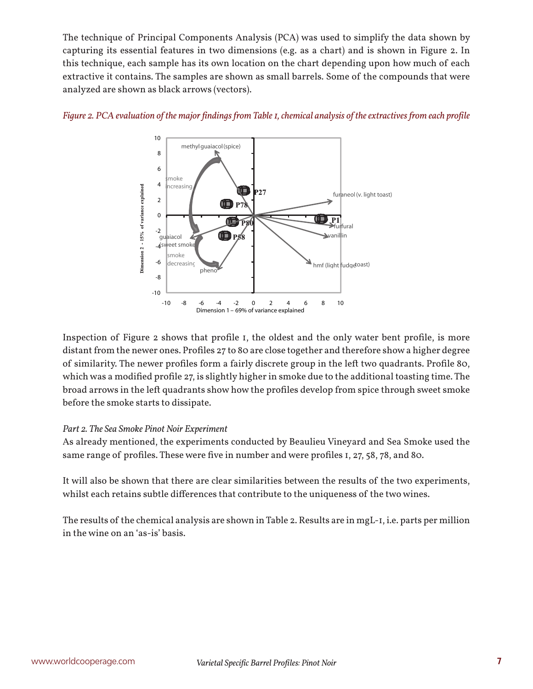The technique of Principal Components Analysis (PCA) was used to simplify the data shown by capturing its essential features in two dimensions (e.g. as a chart) and is shown in Figure 2. In this technique, each sample has its own location on the chart depending upon how much of each extractive it contains. The samples are shown as small barrels. Some of the compounds that were analyzed are shown as black arrows (vectors).



#### *Figure 2. PCA evaluation of the major findings from Table 1, chemical analysis of the extractives from each profile*

Inspection of Figure 2 shows that profile 1, the oldest and the only water bent profile, is more distant from the newer ones. Profiles 27 to 80 are close together and therefore show a higher degree of similarity. The newer profiles form a fairly discrete group in the left two quadrants. Profile 80, which was a modified profile 27, is slightly higher in smoke due to the additional toasting time. The broad arrows in the left quadrants show how the profiles develop from spice through sweet smoke before the smoke starts to dissipate.

#### *Part 2. The Sea Smoke Pinot Noir Experiment*

As already mentioned, the experiments conducted by Beaulieu Vineyard and Sea Smoke used the same range of profiles. These were five in number and were profiles 1, 27, 58, 78, and 80.

It will also be shown that there are clear similarities between the results of the two experiments, whilst each retains subtle differences that contribute to the uniqueness of the two wines.

The results of the chemical analysis are shown in Table 2. Results are in mgL-1, i.e. parts per million in the wine on an 'as-is' basis.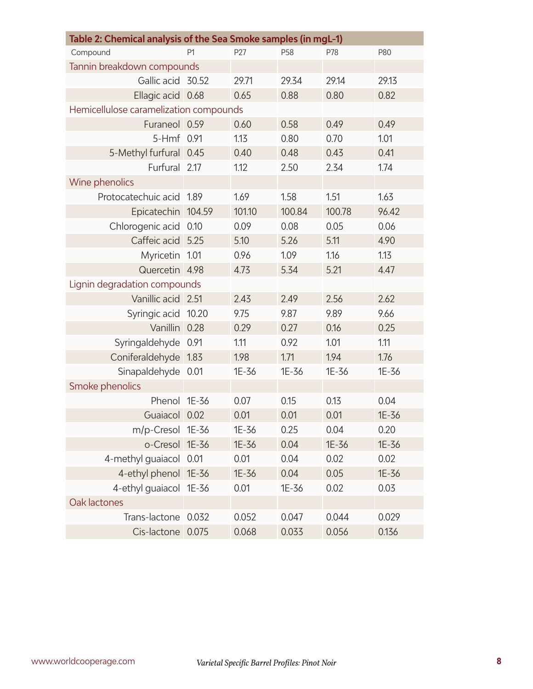| Table 2: Chemical analysis of the Sea Smoke samples (in mgL-1) |                |        |        |        |       |
|----------------------------------------------------------------|----------------|--------|--------|--------|-------|
| Compound                                                       | P <sub>1</sub> | P27    | P58    | P78    | P80   |
| Tannin breakdown compounds                                     |                |        |        |        |       |
| Gallic acid 30.52                                              |                | 29.71  | 29.34  | 29.14  | 29.13 |
| Ellagic acid                                                   | 0.68           | 0.65   | 0.88   | 0.80   | 0.82  |
| Hemicellulose caramelization compounds                         |                |        |        |        |       |
| Furaneol 0.59                                                  |                | 0.60   | 0.58   | 0.49   | 0.49  |
| 5-Hmf                                                          | 0.91           | 1.13   | 0.80   | 0.70   | 1.01  |
| 5-Methyl furfural                                              | 0.45           | 0.40   | 0.48   | 0.43   | 0.41  |
| Furfural                                                       | 2.17           | 1.12   | 2.50   | 2.34   | 1.74  |
| Wine phenolics                                                 |                |        |        |        |       |
| Protocatechuic acid                                            | 1.89           | 1.69   | 1.58   | 1.51   | 1.63  |
| Epicatechin                                                    | 104.59         | 101.10 | 100.84 | 100.78 | 96.42 |
| Chlorogenic acid                                               | 0.10           | 0.09   | 0.08   | 0.05   | 0.06  |
| Caffeic acid                                                   | 5.25           | 5.10   | 5.26   | 5.11   | 4.90  |
| Myricetin                                                      | 1.01           | 0.96   | 1.09   | 1.16   | 1.13  |
| Quercetin                                                      | 4.98           | 4.73   | 5.34   | 5.21   | 4.47  |
| Lignin degradation compounds                                   |                |        |        |        |       |
| Vanillic acid                                                  | 2.51           | 2.43   | 2.49   | 2.56   | 2.62  |
| Syringic acid                                                  | 10.20          | 9.75   | 9.87   | 9.89   | 9.66  |
| Vanillin                                                       | 0.28           | 0.29   | 0.27   | 0.16   | 0.25  |
| Syringaldehyde                                                 | 0.91           | 1.11   | 0.92   | 1.01   | 1.11  |
| Coniferaldehyde                                                | 1.83           | 1.98   | 1.71   | 1.94   | 1.76  |
| Sinapaldehyde                                                  | 0.01           | 1E-36  | 1E-36  | 1E-36  | 1E-36 |
| Smoke phenolics                                                |                |        |        |        |       |
| Phenol                                                         | 1E-36          | 0.07   | 0.15   | 0.13   | 0.04  |
| Guaiacol                                                       | 0.02           | 0.01   | 0.01   | 0.01   | 1E-36 |
| m/p-Cresol 1E-36                                               |                | 1E-36  | 0.25   | 0.04   | 0.20  |
| o-Cresol 1E-36                                                 |                | 1E-36  | 0.04   | 1E-36  | 1E-36 |
| 4-methyl quaiacol                                              | 0.01           | 0.01   | 0.04   | 0.02   | 0.02  |
| 4-ethyl phenol                                                 | $1E-36$        | 1E-36  | 0.04   | 0.05   | 1E-36 |
| 4-ethyl guaiacol 1E-36                                         |                | 0.01   | 1E-36  | 0.02   | 0.03  |
| Oak lactones                                                   |                |        |        |        |       |
| Trans-lactone                                                  | 0.032          | 0.052  | 0.047  | 0.044  | 0.029 |
| Cis-lactone                                                    | 0.075          | 0.068  | 0.033  | 0.056  | 0.136 |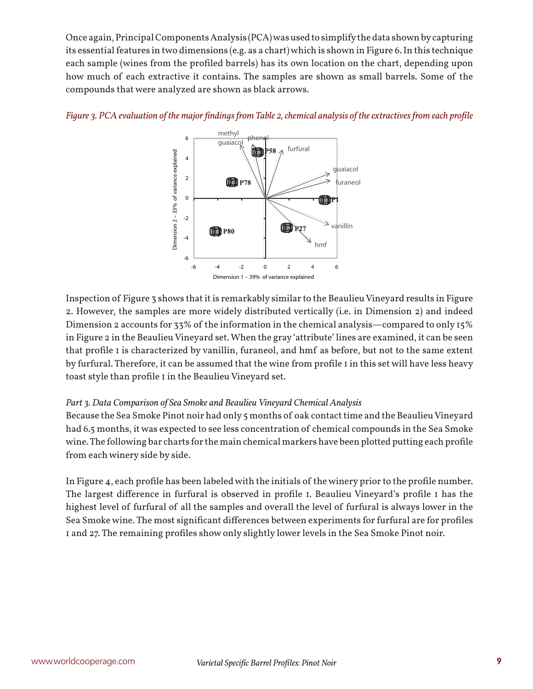Once again, Principal Components Analysis (PCA) was used to simplify the data shown by capturing its essential features in two dimensions (e.g. as a chart) which is shown in Figure 6. In this technique each sample (wines from the profiled barrels) has its own location on the chart, depending upon how much of each extractive it contains. The samples are shown as small barrels. Some of the compounds that were analyzed are shown as black arrows.



#### *Figure 3. PCA evaluation of the major findings from Table 2, chemical analysis of the extractives from each profile*

Inspection of Figure 3 shows that it is remarkably similar to the Beaulieu Vineyard results in Figure 2. However, the samples are more widely distributed vertically (i.e. in Dimension 2) and indeed Dimension 2 accounts for 33% of the information in the chemical analysis—compared to only 15% in Figure 2 in the Beaulieu Vineyard set. When the gray 'attribute' lines are examined, it can be seen that profile I is characterized by vanillin, furaneol, and hmf as before, but not to the same extent by furfural. Therefore, it can be assumed that the wine from profile 1 in this set will have less heavy toast style than profile 1 in the Beaulieu Vineyard set.

#### *Part 3. Data Comparison of Sea Smoke and Beaulieu Vineyard Chemical Analysis*

Because the Sea Smoke Pinot noir had only 5 months of oak contact time and the Beaulieu Vineyard had 6.5 months, it was expected to see less concentration of chemical compounds in the Sea Smoke wine. The following bar charts for the main chemical markers have been plotted putting each profile from each winery side by side.

In Figure 4, each profile has been labeled with the initials of the winery prior to the profile number. The largest difference in furfural is observed in profile 1. Beaulieu Vineyard's profile 1 has the highest level of furfural of all the samples and overall the level of furfural is always lower in the Sea Smoke wine. The most significant differences between experiments for furfural are for profiles 1 and 27. The remaining profiles show only slightly lower levels in the Sea Smoke Pinot noir.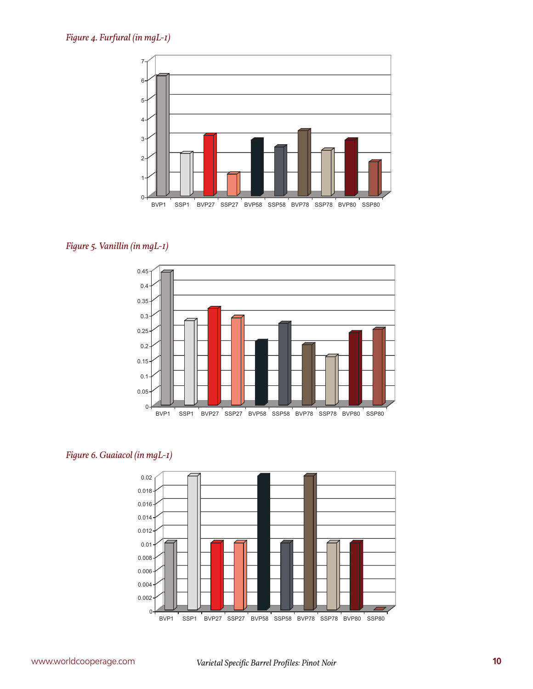

# *Figure 5. Vanillin (in mgL-1)*



# *Figure 6. Guaiacol (in mgL-1)*